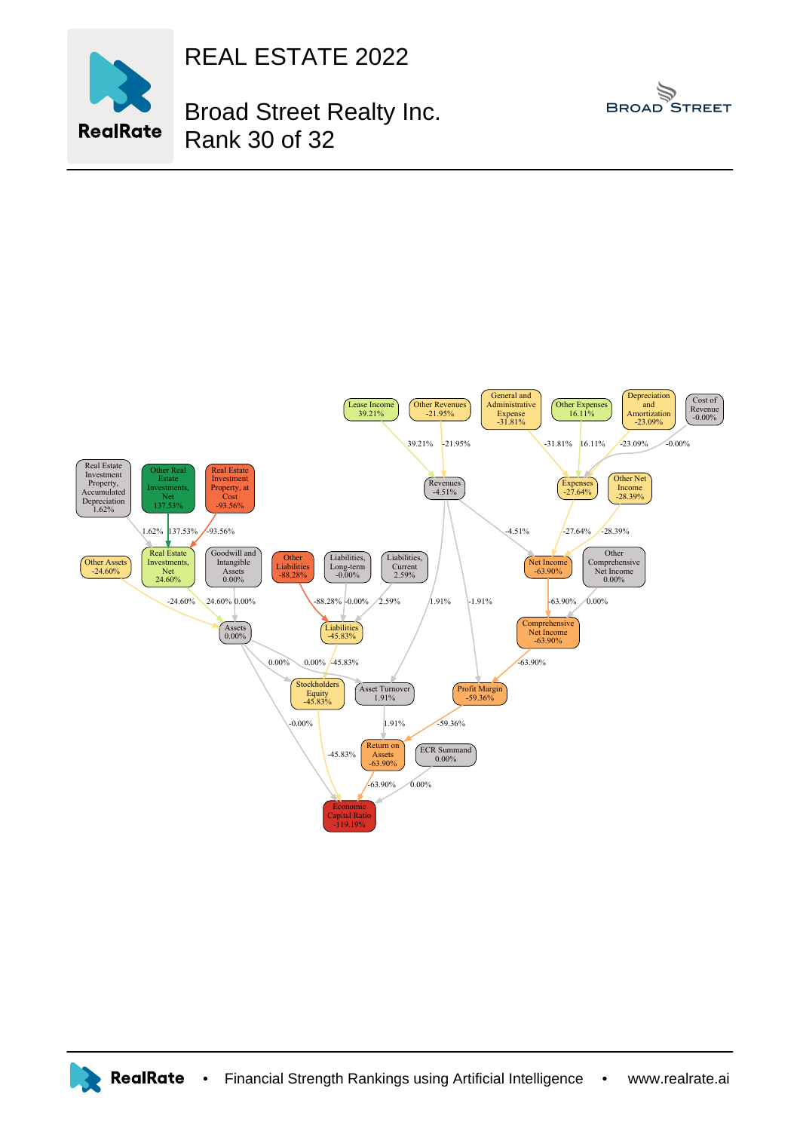

REAL ESTATE 2022

Rank 30 of 32